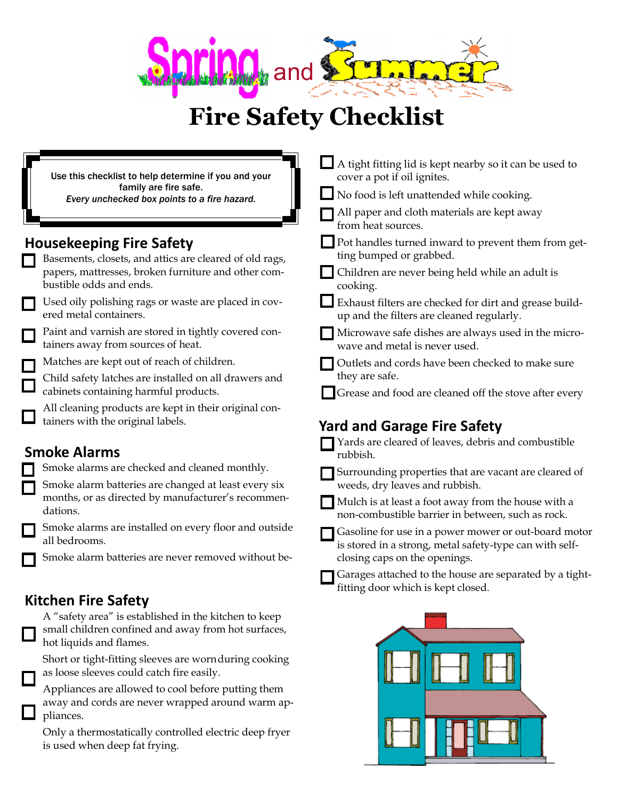

## **Fire Safety Checklist**

|  | Use this checklist to help determine if you and your                                                                                    | A tight fitting lid is kept nearby so it can be used to<br>cover a pot if oil ignites.                          |
|--|-----------------------------------------------------------------------------------------------------------------------------------------|-----------------------------------------------------------------------------------------------------------------|
|  | family are fire safe.<br>Every unchecked box points to a fire hazard.                                                                   | No food is left unattended while cooking.                                                                       |
|  |                                                                                                                                         | All paper and cloth materials are kept away<br>from heat sources.                                               |
|  | <b>Housekeeping Fire Safety</b><br>Basements, closets, and attics are cleared of old rags,                                              | Pot handles turned inward to prevent them from get-<br>ting bumped or grabbed.                                  |
|  | papers, mattresses, broken furniture and other com-<br>bustible odds and ends.                                                          | Children are never being held while an adult is<br>cooking.                                                     |
|  | Used oily polishing rags or waste are placed in cov-<br>ered metal containers.                                                          | Exhaust filters are checked for dirt and grease build-<br>up and the filters are cleaned regularly.             |
|  | Paint and varnish are stored in tightly covered con-<br>tainers away from sources of heat.                                              | Microwave safe dishes are always used in the micro-<br>wave and metal is never used.                            |
|  | Matches are kept out of reach of children.                                                                                              | Outlets and cords have been checked to make sure                                                                |
|  | Child safety latches are installed on all drawers and                                                                                   | they are safe.                                                                                                  |
|  | cabinets containing harmful products.                                                                                                   | Grease and food are cleaned off the stove after every                                                           |
|  | All cleaning products are kept in their original con-<br>tainers with the original labels.                                              | <b>Yard and Garage Fire Safety</b>                                                                              |
|  | <b>Smoke Alarms</b>                                                                                                                     | Yards are cleared of leaves, debris and combustible<br>rubbish.                                                 |
|  | Smoke alarms are checked and cleaned monthly.                                                                                           | Surrounding properties that are vacant are cleared of                                                           |
|  | Smoke alarm batteries are changed at least every six<br>months, or as directed by manufacturer's recommen-                              | weeds, dry leaves and rubbish.                                                                                  |
|  | dations.                                                                                                                                | Mulch is at least a foot away from the house with a<br>non-combustible barrier in between, such as rock.        |
|  | Smoke alarms are installed on every floor and outside<br>all bedrooms.                                                                  | Gasoline for use in a power mower or out-board motor<br>is stored in a strong, metal safety-type can with self- |
|  | Smoke alarm batteries are never removed without be-                                                                                     | closing caps on the openings.                                                                                   |
|  |                                                                                                                                         | Garages attached to the house are separated by a tight-<br>fitting door which is kept closed.                   |
|  | <b>Kitchen Fire Safety</b>                                                                                                              |                                                                                                                 |
|  | A "safety area" is established in the kitchen to keep<br>small children confined and away from hot surfaces,<br>hot liquids and flames. |                                                                                                                 |
|  | Short or tight-fitting sleeves are wornduring cooking<br>as loose sleeves could catch fire easily.                                      |                                                                                                                 |
|  | Appliances are allowed to cool before putting them<br>away and cords are never wrapped around warm ap-<br>pliances.                     |                                                                                                                 |

Only a thermostatically controlled electric deep fryer is used when deep fat frying.